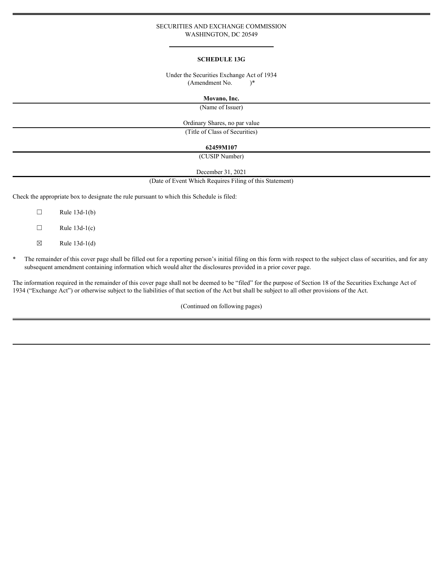### SECURITIES AND EXCHANGE COMMISSION WASHINGTON, DC 20549

#### **SCHEDULE 13G**

#### Under the Securities Exchange Act of 1934  $(Amendment No.$   $)*$

**Movano, Inc.**

(Name of Issuer)

Ordinary Shares, no par value

(Title of Class of Securities)

## **62459M107**

(CUSIP Number)

December 31, 2021

(Date of Event Which Requires Filing of this Statement)

Check the appropriate box to designate the rule pursuant to which this Schedule is filed:

- $\Box$  Rule 13d-1(b)
- $\Box$  Rule 13d-1(c)
- $\boxtimes$  Rule 13d-1(d)
- \* The remainder of this cover page shall be filled out for a reporting person's initial filing on this form with respect to the subject class of securities, and for any subsequent amendment containing information which would alter the disclosures provided in a prior cover page.

The information required in the remainder of this cover page shall not be deemed to be "filed" for the purpose of Section 18 of the Securities Exchange Act of 1934 ("Exchange Act") or otherwise subject to the liabilities of that section of the Act but shall be subject to all other provisions of the Act.

(Continued on following pages)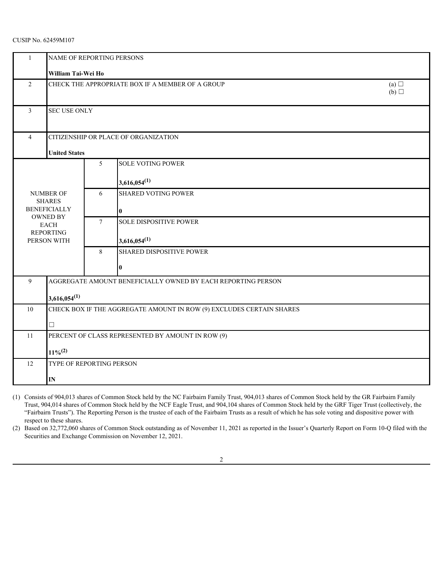# CUSIP No. 62459M107

|                | NAME OF REPORTING PERSONS                                            |                   |                                 |  |  |  |  |
|----------------|----------------------------------------------------------------------|-------------------|---------------------------------|--|--|--|--|
|                | William Tai-Wei Ho                                                   |                   |                                 |  |  |  |  |
| $\overline{2}$ | CHECK THE APPROPRIATE BOX IF A MEMBER OF A GROUP                     | (a) $\Box$<br>(b) |                                 |  |  |  |  |
| $\mathbf{3}$   | <b>SEC USE ONLY</b>                                                  |                   |                                 |  |  |  |  |
| $\overline{4}$ | CITIZENSHIP OR PLACE OF ORGANIZATION                                 |                   |                                 |  |  |  |  |
|                | <b>United States</b>                                                 |                   |                                 |  |  |  |  |
|                |                                                                      | 5                 | <b>SOLE VOTING POWER</b>        |  |  |  |  |
|                |                                                                      |                   | $3,616,054^{(1)}$               |  |  |  |  |
|                | NUMBER OF<br><b>SHARES</b>                                           | 6                 | <b>SHARED VOTING POWER</b>      |  |  |  |  |
|                | <b>BENEFICIALLY</b>                                                  |                   |                                 |  |  |  |  |
|                | OWNED BY<br>EACH                                                     | $7\phantom{.0}$   | SOLE DISPOSITIVE POWER          |  |  |  |  |
|                | <b>REPORTING</b><br>PERSON WITH                                      |                   | $3,616,054^{(1)}$               |  |  |  |  |
|                |                                                                      | $8\phantom{.}8$   | <b>SHARED DISPOSITIVE POWER</b> |  |  |  |  |
|                |                                                                      |                   |                                 |  |  |  |  |
| 9              | AGGREGATE AMOUNT BENEFICIALLY OWNED BY EACH REPORTING PERSON         |                   |                                 |  |  |  |  |
|                | $3,616,054^{(1)}$                                                    |                   |                                 |  |  |  |  |
| 10             | CHECK BOX IF THE AGGREGATE AMOUNT IN ROW (9) EXCLUDES CERTAIN SHARES |                   |                                 |  |  |  |  |
|                | $\Box$                                                               |                   |                                 |  |  |  |  |
| 11             | PERCENT OF CLASS REPRESENTED BY AMOUNT IN ROW (9)                    |                   |                                 |  |  |  |  |
|                | $11\%^{(2)}$                                                         |                   |                                 |  |  |  |  |
| 12             | TYPE OF REPORTING PERSON                                             |                   |                                 |  |  |  |  |
|                | $\mathbf{IN}$                                                        |                   |                                 |  |  |  |  |

(1) Consists of 904,013 shares of Common Stock held by the NC Fairbairn Family Trust, 904,013 shares of Common Stock held by the GR Fairbairn Family Trust, 904,014 shares of Common Stock held by the NCF Eagle Trust, and 904,104 shares of Common Stock held by the GRF Tiger Trust (collectively, the "Fairbairn Trusts"). The Reporting Person is the trustee of each of the Fairbairn Trusts as a result of which he has sole voting and dispositive power with respect to these shares.

(2) Based on 32,772,060 shares of Common Stock outstanding as of November 11, 2021 as reported in the Issuer's Quarterly Report on Form 10-Q filed with the Securities and Exchange Commission on November 12, 2021.

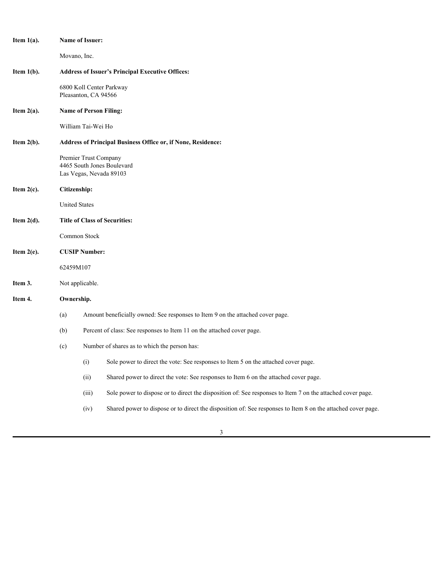| Item $1(a)$ . |                                                                               | Name of Issuer:                                  |                                                                                                              |  |  |  |
|---------------|-------------------------------------------------------------------------------|--------------------------------------------------|--------------------------------------------------------------------------------------------------------------|--|--|--|
|               | Movano, Inc.                                                                  |                                                  |                                                                                                              |  |  |  |
| Item 1(b).    |                                                                               |                                                  | <b>Address of Issuer's Principal Executive Offices:</b>                                                      |  |  |  |
|               |                                                                               | 6800 Koll Center Parkway<br>Pleasanton, CA 94566 |                                                                                                              |  |  |  |
| Item $2(a)$ . |                                                                               | <b>Name of Person Filing:</b>                    |                                                                                                              |  |  |  |
|               |                                                                               | William Tai-Wei Ho                               |                                                                                                              |  |  |  |
| Item 2(b).    |                                                                               |                                                  | Address of Principal Business Office or, if None, Residence:                                                 |  |  |  |
|               |                                                                               | Premier Trust Company<br>Las Vegas, Nevada 89103 | 4465 South Jones Boulevard                                                                                   |  |  |  |
| Item 2(c).    | Citizenship:                                                                  |                                                  |                                                                                                              |  |  |  |
|               | <b>United States</b>                                                          |                                                  |                                                                                                              |  |  |  |
| Item $2(d)$ . |                                                                               |                                                  | <b>Title of Class of Securities:</b>                                                                         |  |  |  |
|               |                                                                               | Common Stock                                     |                                                                                                              |  |  |  |
| Item 2(e).    |                                                                               | <b>CUSIP Number:</b>                             |                                                                                                              |  |  |  |
|               | 62459M107                                                                     |                                                  |                                                                                                              |  |  |  |
| Item 3.       |                                                                               | Not applicable.                                  |                                                                                                              |  |  |  |
| Item 4.       | Ownership.                                                                    |                                                  |                                                                                                              |  |  |  |
|               | (a)                                                                           |                                                  | Amount beneficially owned: See responses to Item 9 on the attached cover page.                               |  |  |  |
|               | Percent of class: See responses to Item 11 on the attached cover page.<br>(b) |                                                  |                                                                                                              |  |  |  |
|               | (c)                                                                           |                                                  | Number of shares as to which the person has:                                                                 |  |  |  |
|               |                                                                               | (i)                                              | Sole power to direct the vote: See responses to Item 5 on the attached cover page.                           |  |  |  |
|               |                                                                               | (ii)                                             | Shared power to direct the vote: See responses to Item 6 on the attached cover page.                         |  |  |  |
|               |                                                                               | (iii)                                            | Sole power to dispose or to direct the disposition of: See responses to Item 7 on the attached cover page.   |  |  |  |
|               |                                                                               | (iv)                                             | Shared power to dispose or to direct the disposition of: See responses to Item 8 on the attached cover page. |  |  |  |
|               |                                                                               |                                                  |                                                                                                              |  |  |  |

3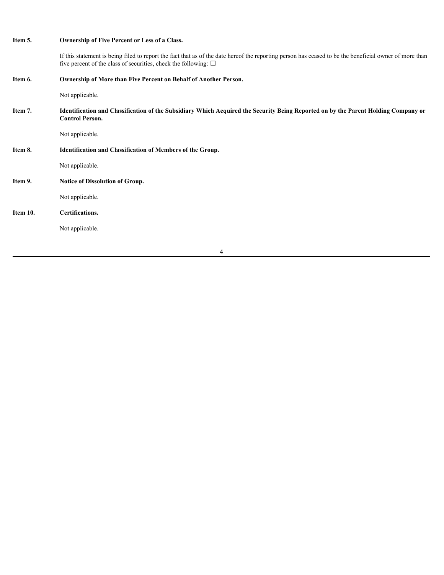| Item 5.  | Ownership of Five Percent or Less of a Class.                                                                                                                                                                                     |
|----------|-----------------------------------------------------------------------------------------------------------------------------------------------------------------------------------------------------------------------------------|
|          | If this statement is being filed to report the fact that as of the date hereof the reporting person has ceased to be the beneficial owner of more than<br>five percent of the class of securities, check the following: $\square$ |
| Item 6.  | Ownership of More than Five Percent on Behalf of Another Person.                                                                                                                                                                  |
|          | Not applicable.                                                                                                                                                                                                                   |
| Item 7.  | Identification and Classification of the Subsidiary Which Acquired the Security Being Reported on by the Parent Holding Company or<br><b>Control Person.</b>                                                                      |
|          | Not applicable.                                                                                                                                                                                                                   |
| Item 8.  | Identification and Classification of Members of the Group.                                                                                                                                                                        |
|          | Not applicable.                                                                                                                                                                                                                   |
| Item 9.  | Notice of Dissolution of Group.                                                                                                                                                                                                   |
|          | Not applicable.                                                                                                                                                                                                                   |
| Item 10. | Certifications.                                                                                                                                                                                                                   |
|          | Not applicable.                                                                                                                                                                                                                   |
|          | 4                                                                                                                                                                                                                                 |
|          |                                                                                                                                                                                                                                   |